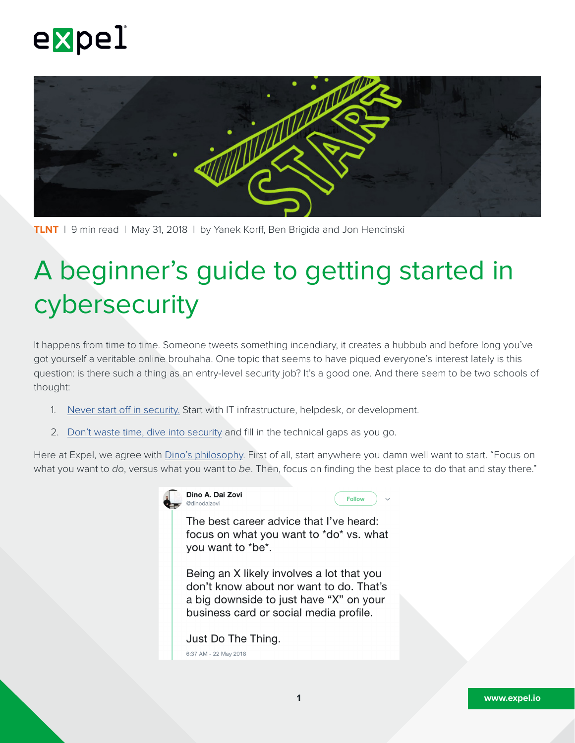



**TLNT** | 9 min read | May 31, 2018 | by Yanek Korff, Ben Brigida and Jon Hencinski

# A beginner's guide to getting started in cybersecurity

It happens from time to time. Someone tweets something incendiary, it creates a hubbub and before long you've got yourself a veritable online brouhaha. One topic that seems to have piqued everyone's interest lately is this question: is there such a thing as an entry-level security job? It's a good one. And there seem to be two schools of thought:

- 1. [Never start off in security.](https://twitter.com/Fallenour/status/998560796111265793) Start with IT infrastructure, helpdesk, or development.
- 2. [Don't waste time, dive into security](https://twitter.com/Fox0x01/status/998617469139943424) and fill in the technical gaps as you go.

Here at Expel, we agree with [Dino's philosophy.](https://twitter.com/dinodaizovi/status/998920776697950208) First of all, start anywhere you damn well want to start. "Focus on what you want to *do*, versus what you want to *be*. Then, focus on finding the best place to do that and stay there."

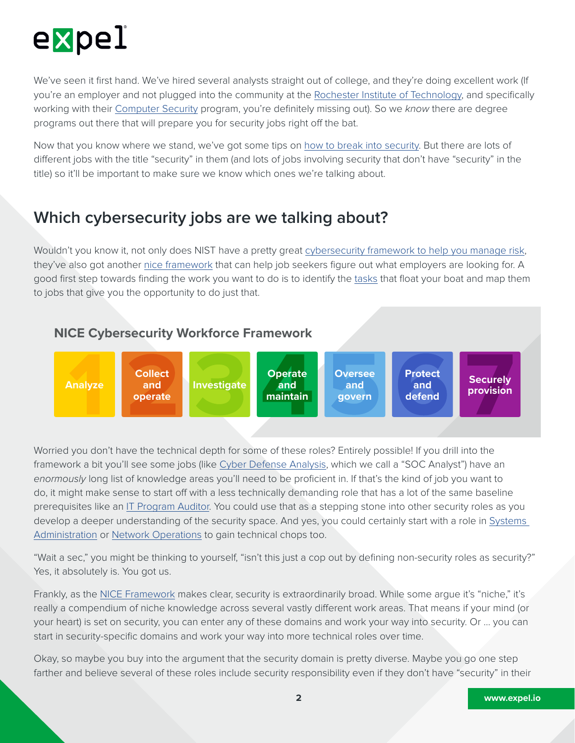

We've seen it first hand. We've hired several analysts straight out of college, and they're doing excellent work (If you're an employer and not plugged into the community at the [Rochester Institute of Technology,](http://www.rit.edu) and specifically working with their [Computer Security](https://www.rit.edu/gccis/computingsecurity/academics/bs/overview) program, you're definitely missing out). So we *know* there are degree programs out there that will prepare you for security jobs right off the bat.

Now that you know where we stand, we've got some tips on [how to break into security](https://read.bookcreator.com/Ud8SQYtd2MdWDTYC2OZ9QQStjO43/sQ9r0Vs7TEmzvDLRYTEM4w). But there are lots of different jobs with the title "security" in them (and lots of jobs involving security that don't have "security" in the title) so it'll be important to make sure we know which ones we're talking about.

## **Which cybersecurity jobs are we talking about?**

Wouldn't you know it, not only does NIST have a pretty great [cybersecurity framework to help you manage risk,](https://expel.io/blog/how-to-get-started-with-the-nist-cybersecurity-framework-csf/) they've also got another [nice framework](https://niccs.us-cert.gov/workforce-development/cyber-security-workforce-framework) that can help job seekers figure out what employers are looking for. A good first step towards finding the work you want to do is to identify the [tasks](https://niccs.us-cert.gov/workforce-development/cyber-security-workforce-framework/tasks) that float your boat and map them to jobs that give you the opportunity to do just that.



Worried you don't have the technical depth for some of these roles? Entirely possible! If you drill into the framework a bit you'll see some jobs (like [Cyber Defense Analysis](https://niccs.us-cert.gov/workforce-development/cyber-security-workforce-framework/cyber-defense-analysis), which we call a "SOC Analyst") have an *enormously* long list of knowledge areas you'll need to be proficient in. If that's the kind of job you want to do, it might make sense to start off with a less technically demanding role that has a lot of the same baseline prerequisites like an [IT Program Auditor.](https://niccs.us-cert.gov/workforce-development/cyber-security-workforce-framework/programproject-management-and-acquisition#) You could use that as a stepping stone into other security roles as you develop a deeper understanding of the security space. And yes, you could certainly start with a role in [Systems](https://niccs.us-cert.gov/workforce-development/cyber-security-workforce-framework/systems-administration)  [Administration](https://niccs.us-cert.gov/workforce-development/cyber-security-workforce-framework/systems-administration) or [Network Operations](https://niccs.us-cert.gov/workforce-development/cyber-security-workforce-framework/network-services) to gain technical chops too.

"Wait a sec," you might be thinking to yourself, "isn't this just a cop out by defining non-security roles as security?" Yes, it absolutely is. You got us.

Frankly, as the [NICE Framework](https://expel.io/blog/a-beginners-guide-to-getting-started-in-cybersecurity/) makes clear, security is extraordinarily broad. While some argue it's "niche," it's really a compendium of niche knowledge across several vastly different work areas. That means if your mind (or your heart) is set on security, you can enter any of these domains and work your way into security. Or … you can start in security-specific domains and work your way into more technical roles over time.

Okay, so maybe you buy into the argument that the security domain is pretty diverse. Maybe you go one step farther and believe several of these roles include security responsibility even if they don't have "security" in their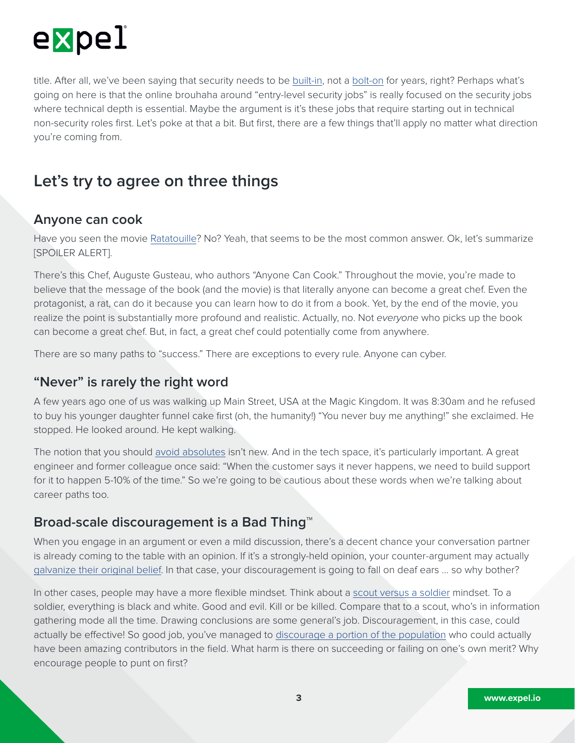

title. After all, we've been saying that security needs to be [built-in](https://www.bsimm.com), not a [bolt-on](http://foreignpolicy.com/2018/03/23/john-bolton-is-a-national-security-threat/) for years, right? Perhaps what's going on here is that the online brouhaha around "entry-level security jobs" is really focused on the security jobs where technical depth is essential. Maybe the argument is it's these jobs that require starting out in technical non-security roles first. Let's poke at that a bit. But first, there are a few things that'll apply no matter what direction you're coming from.

## **Let's try to agree on three things**

#### **Anyone can cook**

Have you seen the movie [Ratatouille](https://www.imdb.com/title/tt0382932/)? No? Yeah, that seems to be the most common answer. Ok, let's summarize [SPOILER ALERT].

There's this Chef, Auguste Gusteau, who authors "Anyone Can Cook." Throughout the movie, you're made to believe that the message of the book (and the movie) is that literally anyone can become a great chef. Even the protagonist, a rat, can do it because you can learn how to do it from a book. Yet, by the end of the movie, you realize the point is substantially more profound and realistic. Actually, no. Not *everyone* who picks up the book can become a great chef. But, in fact, a great chef could potentially come from anywhere.

There are so many paths to "success." There are exceptions to every rule. Anyone can cyber.

#### **"Never" is rarely the right word**

A few years ago one of us was walking up Main Street, USA at the Magic Kingdom. It was 8:30am and he refused to buy his younger daughter funnel cake first (oh, the humanity!) "You never buy me anything!" she exclaimed. He stopped. He looked around. He kept walking.

The notion that you should [avoid absolutes](https://www.quickanddirtytips.com/education/grammar/always-never-usually-often-most-and-more) isn't new. And in the tech space, it's particularly important. A great engineer and former colleague once said: "When the customer says it never happens, we need to build support for it to happen 5-10% of the time." So we're going to be cautious about these words when we're talking about career paths too.

### **Broad-scale discouragement is a Bad Thing™**

When you engage in an argument or even a mild discussion, there's a decent chance your conversation partner is already coming to the table with an opinion. If it's a strongly-held opinion, your counter-argument may actually [galvanize their original belief](http://theoatmeal.com/comics/believe). In that case, your discouragement is going to fall on deaf ears … so why bother?

In other cases, people may have a more flexible mindset. Think about a [scout versus a soldier](https://www.ted.com/talks/julia_galef_why_you_think_you_re_right_even_if_you_re_wrong) mindset. To a soldier, everything is black and white. Good and evil. Kill or be killed. Compare that to a scout, who's in information gathering mode all the time. Drawing conclusions are some general's job. Discouragement, in this case, could actually be effective! So good job, you've managed to [discourage a portion of the population](https://hbr.org/2014/08/why-women-dont-apply-for-jobs-unless-theyre-100-qualified) who could actually have been amazing contributors in the field. What harm is there on succeeding or failing on one's own merit? Why encourage people to punt on first?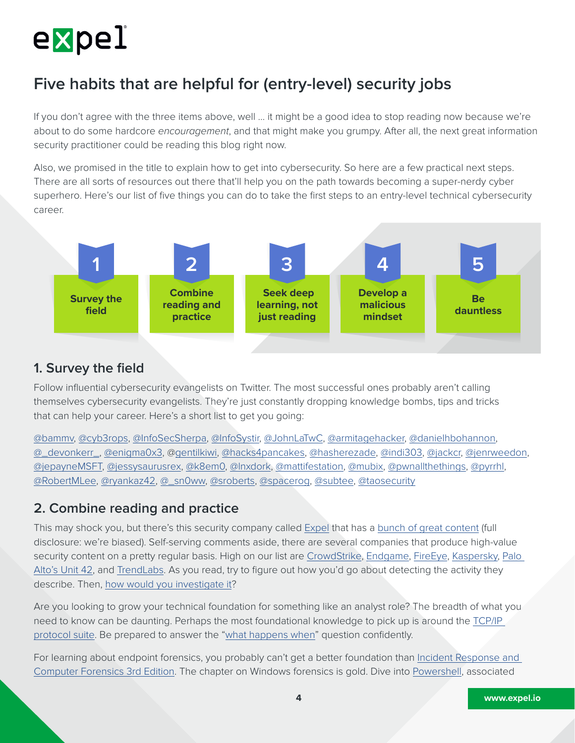

## **Five habits that are helpful for (entry-level) security jobs**

If you don't agree with the three items above, well … it might be a good idea to stop reading now because we're about to do some hardcore *encouragement*, and that might make you grumpy. After all, the next great information security practitioner could be reading this blog right now.

Also, we promised in the title to explain how to get into cybersecurity. So here are a few practical next steps. There are all sorts of resources out there that'll help you on the path towards becoming a super-nerdy cyber superhero. Here's our list of five things you can do to take the first steps to an entry-level technical cybersecurity career.



#### **1. Survey the field**

Follow influential cybersecurity evangelists on Twitter. The most successful ones probably aren't calling themselves cybersecurity evangelists. They're just constantly dropping knowledge bombs, tips and tricks that can help your career. Here's a short list to get you going:

[@bammv,](https://twitter.com/bammv) [@cyb3rops](https://twitter.com/cyb3rops), [@InfoSecSherpa,](https://twitter.com/InfoSecSherpa) [@InfoSystir](https://twitter.com/InfoSystir), [@JohnLaTwC,](https://twitter.com/JohnLaTwC) [@armitagehacker,](https://twitter.com/armitagehacker) [@danielhbohannon,](https://twitter.com/danielbohannon) [@\\_devonkerr\\_,](https://twitter.com/_devonkerr_) [@enigma0x3,](https://twitter.com/enigma0x3) @[gentilkiwi](https://twitter.com/gentilkiwi), [@hacks4pancakes](https://twitter.com/hacks4pancakes), [@hasherezade](https://twitter.com/hasherezade), [@indi303,](https://twitter.com/indi303) [@jackcr,](https://twitter.com/jackcr) [@jenrweedon](https://twitter.com/jenrweedon), [@jepayneMSFT,](https://twitter.com/jepayneMSFT) [@jessysaurusrex,](https://twitter.com/jessysaurusrex) [@k8em0,](https://twitter.com/k8em0) [@lnxdork](https://twitter.com/lnxdork), [@mattifestation,](https://twitter.com/mattifestation) [@mubix](https://twitter.com/mubix), [@pwnallthethings](https://twitter.com/pwnallthethings), [@pyrrhl,](https://twitter.com/pyrrhl) [@RobertMLee](https://twitter.com/RobertMLee), [@ryankaz42,](https://twitter.com/ryankaz42) [@\\_sn0ww,](https://twitter.com/_sn0ww) [@sroberts](https://twitter.com/sroberts), [@spacerog,](https://twitter.com/spacerog) [@subtee,](https://twitter.com/subtee) [@taosecurity](https://twitter.com/taosecurity)

### **2. Combine reading and practice**

This may shock you, but there's this security company called [Expel](https://expel.io) that has a [bunch of great content](https://expel.io/blog/) (full disclosure: we're biased). Self-serving comments aside, there are several companies that produce high-value security content on a pretty regular basis. High on our list are [CrowdStrike](https://www.crowdstrike.com/blog/), [Endgame,](https://www.endgame.com/blog) [FireEye](https://www.fireeye.com/blog.html), [Kaspersky,](https://www.kaspersky.com/blog/) [Palo](https://researchcenter.paloaltonetworks.com/unit42/)  [Alto's Unit 42,](https://researchcenter.paloaltonetworks.com/unit42/) and [TrendLabs](https://blog.trendmicro.com/trendlabs-security-intelligence/). As you read, try to figure out how you'd go about detecting the activity they describe. Then, [how would you investigate it?](https://expel.io/blog/triage-windows-endpoints-asking-right-questions/)

Are you looking to grow your technical foundation for something like an analyst role? The breadth of what you need to know can be daunting. Perhaps the most foundational knowledge to pick up is around the [TCP/IP](http://www.tcpipguide.com)  [protocol suite.](http://www.tcpipguide.com) Be prepared to answer the "[what happens when"](https://github.com/alex/what-happens-when) question confidently.

For learning about endpoint forensics, you probably can't get a better foundation than [Incident Response and](https://www.amazon.com/dp/B00JFG7152/ref=cm_sw_r_cp_ep_dp_QfddBbT8VYWWM)  [Computer Forensics 3rd Edition.](https://www.amazon.com/dp/B00JFG7152/ref=cm_sw_r_cp_ep_dp_QfddBbT8VYWWM) The chapter on Windows forensics is gold. Dive into [Powershell,](https://powerforensics.readthedocs.io/en/latest/) associated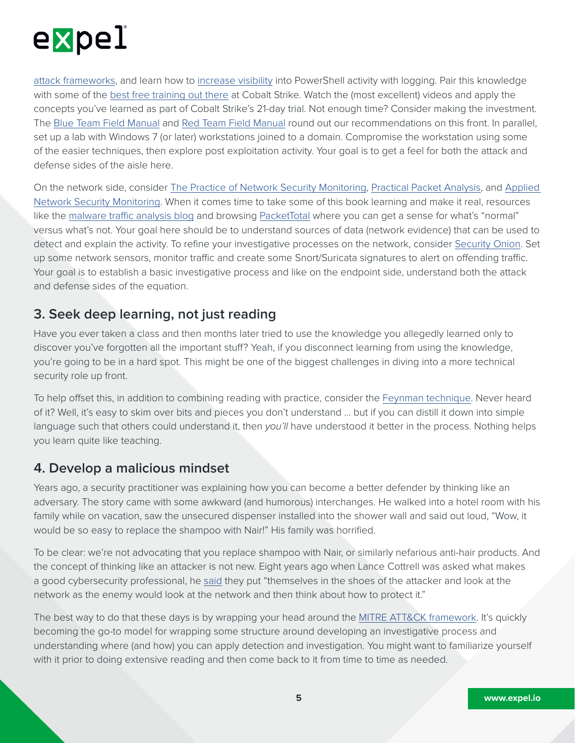

[attack frameworks,](http://www.powershellempire.com) and learn how to [increase visibility](https://www.fireeye.com/blog/threat-research/2016/02/greater_visibilityt.html) into PowerShell activity with logging. Pair this knowledge with some of the [best free training out there](https://www.cobaltstrike.com/training) at Cobalt Strike. Watch the (most excellent) videos and apply the concepts you've learned as part of Cobalt Strike's 21-day trial. Not enough time? Consider making the investment. The [Blue Team Field Manual](https://www.amazon.com/dp/154101636X/ref=cm_sw_r_cp_ep_dp_pqfdBbKX2B6EP) and [Red Team Field Manual](https://www.amazon.com/dp/1494295504/ref=cm_sw_r_cp_ep_dp_CrfdBbK8EJVJM) round out our recommendations on this front. In parallel, set up a lab with Windows 7 (or later) workstations joined to a domain. Compromise the workstation using some of the easier techniques, then explore post exploitation activity. Your goal is to get a feel for both the attack and defense sides of the aisle here.

On the network side, consider [The Practice of Network Security Monitoring](https://www.amazon.com/dp/B00E5REN34/ref=cm_sw_r_cp_ep_dp_AMddBbH3J05QF), [Practical Packet Analysis,](https://www.amazon.com/dp/B06XX74R1X/ref=cm_sw_r_cp_ep_dp_M4utAbGK24PYH) and [Applied](https://www.amazon.com/dp/B00H3RWTIE/ref=cm_sw_r_cp_ep_dp_34utAbYF55MYD)  [Network Security Monitoring.](https://www.amazon.com/dp/B00H3RWTIE/ref=cm_sw_r_cp_ep_dp_34utAbYF55MYD) When it comes time to take some of this book learning and make it real, resources like the [malware traffic analysis blog](https://www.malware-traffic-analysis.net) and browsing [PacketTotal](https://packettotal.com) where you can get a sense for what's "normal" versus what's not. Your goal here should be to understand sources of data (network evidence) that can be used to detect and explain the activity. To refine your investigative processes on the network, consider [Security Onion](https://securityonion.net). Set up some network sensors, monitor traffic and create some Snort/Suricata signatures to alert on offending traffic. Your goal is to establish a basic investigative process and like on the endpoint side, understand both the attack and defense sides of the equation.

### **3. Seek deep learning, not just reading**

Have you ever taken a class and then months later tried to use the knowledge you allegedly learned only to discover you've forgotten all the important stuff? Yeah, if you disconnect learning from using the knowledge, you're going to be in a hard spot. This might be one of the biggest challenges in diving into a more technical security role up front.

To help offset this, in addition to combining reading with practice, consider the [Feynman technique](https://mattyford.com/blog/2014/1/23/the-feynman-technique-model). Never heard of it? Well, it's easy to skim over bits and pieces you don't understand … but if you can distill it down into simple language such that others could understand it, then *you'll* have understood it better in the process. Nothing helps you learn quite like teaching.

#### **4. Develop a malicious mindset**

Years ago, a security practitioner was explaining how you can become a better defender by thinking like an adversary. The story came with some awkward (and humorous) interchanges. He walked into a hotel room with his family while on vacation, saw the unsecured dispenser installed into the shower wall and said out loud, "Wow, it would be so easy to replace the shampoo with Nair!" His family was horrified.

To be clear: we're not advocating that you replace shampoo with Nair, or similarly nefarious anti-hair products. And the concept of thinking like an attacker is not new. Eight years ago when Lance Cottrell was asked what makes a good cybersecurity professional, he [said](http://blog.executivebiz.com/2010/06/lance-cottrell-of-abraxas-substantial-civil-liberties-impacts-but-no-security-benefits-with-large-scale-internet-surveillance/) they put "themselves in the shoes of the attacker and look at the network as the enemy would look at the network and then think about how to protect it."

The best way to do that these days is by wrapping your head around the [MITRE ATT&CK framework](https://attack.mitre.org/wiki/Main_Page). It's quickly becoming the go-to model for wrapping some structure around developing an investigative process and understanding where (and how) you can apply detection and investigation. You might want to familiarize yourself with it prior to doing extensive reading and then come back to it from time to time as needed.